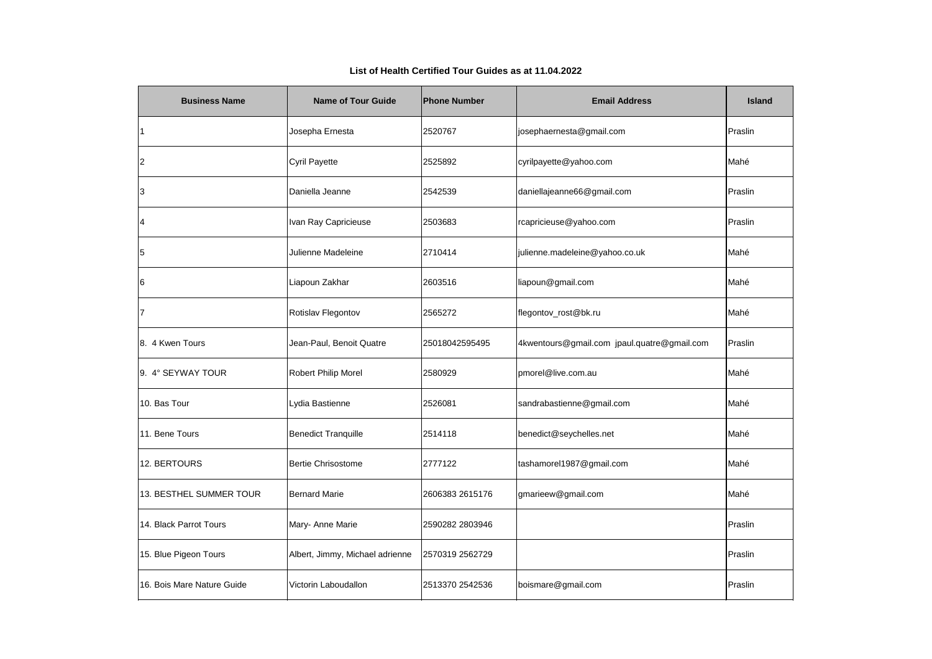| <b>Business Name</b>       | <b>Name of Tour Guide</b>       | <b>Phone Number</b> | <b>Email Address</b>                        | <b>Island</b> |
|----------------------------|---------------------------------|---------------------|---------------------------------------------|---------------|
|                            | Josepha Ernesta                 | 2520767             | josephaernesta@gmail.com                    | Praslin       |
| 2                          | Cyril Payette                   | 2525892             | cyrilpayette@yahoo.com                      | Mahé          |
| 3                          | Daniella Jeanne                 | 2542539             | daniellajeanne66@gmail.com                  | Praslin       |
| 4                          | Ivan Ray Capricieuse            | 2503683             | rcapricieuse@yahoo.com                      | Praslin       |
| 5                          | Julienne Madeleine              | 2710414             | julienne.madeleine@yahoo.co.uk              | Mahé          |
| 16                         | Liapoun Zakhar                  | 2603516             | liapoun@gmail.com                           | Mahé          |
|                            | Rotislav Flegontov              | 2565272             | flegontov_rost@bk.ru                        | Mahé          |
| 8. 4 Kwen Tours            | Jean-Paul, Benoit Quatre        | 25018042595495      | 4kwentours@gmail.com jpaul.quatre@gmail.com | Praslin       |
| 9. 4° SEYWAY TOUR          | <b>Robert Philip Morel</b>      | 2580929             | pmorel@live.com.au                          | Mahé          |
| 10. Bas Tour               | Lydia Bastienne                 | 2526081             | sandrabastienne@gmail.com                   | Mahé          |
| 11. Bene Tours             | <b>Benedict Tranquille</b>      | 2514118             | benedict@seychelles.net                     | Mahé          |
| 12. BERTOURS               | <b>Bertie Chrisostome</b>       | 2777122             | tashamorel1987@gmail.com                    | Mahé          |
| 13. BESTHEL SUMMER TOUR    | <b>Bernard Marie</b>            | 2606383 2615176     | gmarieew@gmail.com                          | Mahé          |
| 14. Black Parrot Tours     | Mary- Anne Marie                | 2590282 2803946     |                                             | Praslin       |
| 15. Blue Pigeon Tours      | Albert, Jimmy, Michael adrienne | 2570319 2562729     |                                             | Praslin       |
| 16. Bois Mare Nature Guide | Victorin Laboudallon            | 2513370 2542536     | boismare@gmail.com                          | Praslin       |

## **List of Health Certified Tour Guides as at 11.04.2022**

|    | <b>Island</b> |
|----|---------------|
|    | Praslin       |
|    | Mahé          |
|    | Praslin       |
|    | Praslin       |
|    | Mahé          |
|    | Mahé          |
|    | Mahé          |
| DШ | Praslin       |
|    | Mahé          |
|    | Mahé          |
|    | Mahé          |
|    | Mahé          |
|    | Mahé          |
|    | Praslin       |
|    | Praslin       |
|    | Praslin       |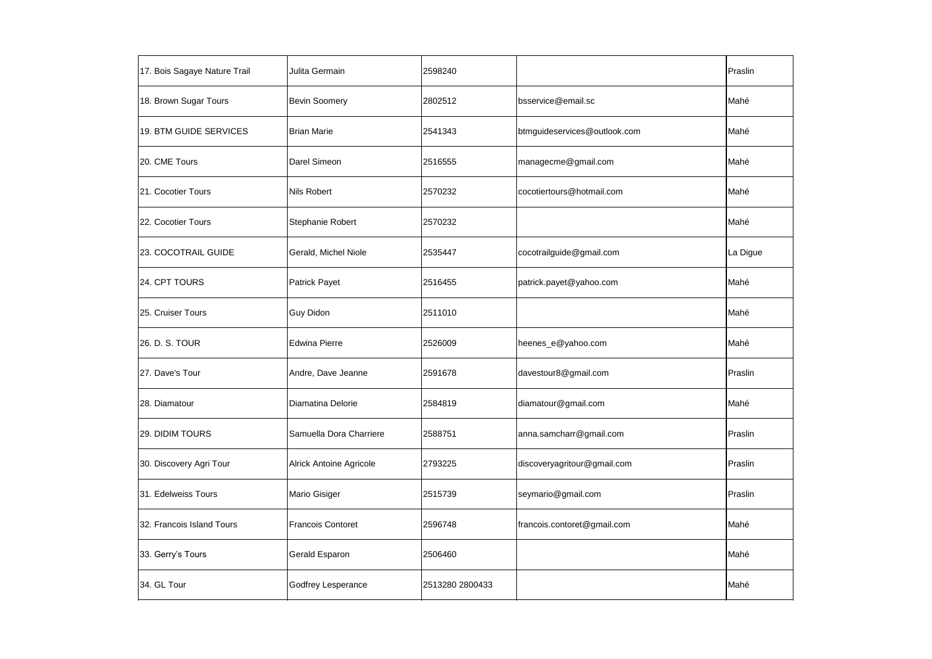| 17. Bois Sagaye Nature Trail | Julita Germain                 | 2598240         |                              | Praslin  |
|------------------------------|--------------------------------|-----------------|------------------------------|----------|
| 18. Brown Sugar Tours        | <b>Bevin Soomery</b>           | 2802512         | bsservice@email.sc           | Mahé     |
| 19. BTM GUIDE SERVICES       | <b>Brian Marie</b>             | 2541343         | btmguideservices@outlook.com | Mahé     |
| 20. CME Tours                | Darel Simeon                   | 2516555         | managecme@gmail.com          | Mahé     |
| 21. Cocotier Tours           | <b>Nils Robert</b>             | 2570232         | cocotiertours@hotmail.com    | Mahé     |
| 22. Cocotier Tours           | Stephanie Robert               | 2570232         |                              | Mahé     |
| 23. COCOTRAIL GUIDE          | Gerald, Michel Niole           | 2535447         | cocotrailguide@gmail.com     | La Digue |
| 24. CPT TOURS                | <b>Patrick Payet</b>           | 2516455         | patrick.payet@yahoo.com      | Mahé     |
| 25. Cruiser Tours            | <b>Guy Didon</b>               | 2511010         |                              | Mahé     |
| 26. D. S. TOUR               | <b>Edwina Pierre</b>           | 2526009         | heenes_e@yahoo.com           | Mahé     |
| 27. Dave's Tour              | Andre, Dave Jeanne             | 2591678         | davestour8@gmail.com         | Praslin  |
| 28. Diamatour                | Diamatina Delorie              | 2584819         | diamatour@gmail.com          | Mahé     |
| 29. DIDIM TOURS              | Samuella Dora Charriere        | 2588751         | anna.samcharr@gmail.com      | Praslin  |
| 30. Discovery Agri Tour      | <b>Alrick Antoine Agricole</b> | 2793225         | discoveryagritour@gmail.com  | Praslin  |
| 31. Edelweiss Tours          | <b>Mario Gisiger</b>           | 2515739         | seymario@gmail.com           | Praslin  |
| 32. Francois Island Tours    | <b>Francois Contoret</b>       | 2596748         | francois.contoret@gmail.com  | Mahé     |
| 33. Gerry's Tours            | Gerald Esparon                 | 2506460         |                              | Mahé     |
| 34. GL Tour                  | Godfrey Lesperance             | 2513280 2800433 |                              | Mahé     |
|                              |                                |                 |                              |          |

| Praslin  |
|----------|
| Mahé     |
| Mahé     |
| Mahé     |
| Mahé     |
| Mahé     |
| La Digue |
| Mahé     |
| Mahé     |
| Mahé     |
| Praslin  |
| Mahé     |
| Praslin  |
| Praslin  |
| Praslin  |
| Mahé     |
| Mahé     |
| Mahé     |
|          |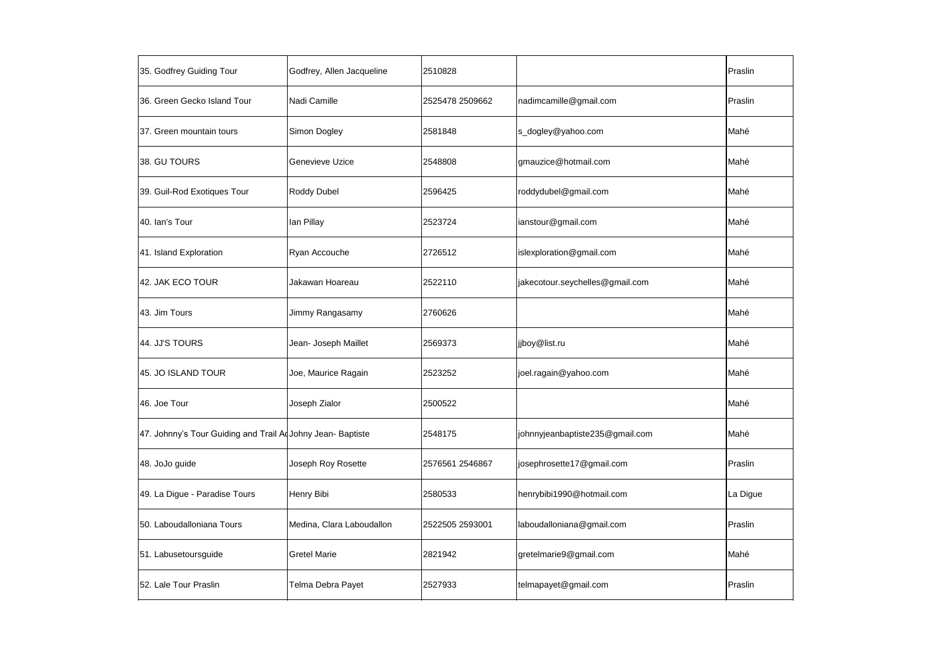| 35. Godfrey Guiding Tour                                    | Godfrey, Allen Jacqueline | 2510828         |                                 | Praslin  |
|-------------------------------------------------------------|---------------------------|-----------------|---------------------------------|----------|
| 36. Green Gecko Island Tour                                 | Nadi Camille              | 2525478 2509662 | nadimcamille@gmail.com          | Praslin  |
| 37. Green mountain tours                                    | Simon Dogley              | 2581848         | s_dogley@yahoo.com              | Mahé     |
| 38. GU TOURS                                                | <b>Genevieve Uzice</b>    | 2548808         | gmauzice@hotmail.com            | Mahé     |
| 39. Guil-Rod Exotiques Tour                                 | <b>Roddy Dubel</b>        | 2596425         | roddydubel@gmail.com            | Mahé     |
| 40. Ian's Tour                                              | lan Pillay                | 2523724         | ianstour@gmail.com              | Mahé     |
| 41. Island Exploration                                      | Ryan Accouche             | 2726512         | islexploration@gmail.com        | Mahé     |
| 42. JAK ECO TOUR                                            | Jakawan Hoareau           | 2522110         | jakecotour.seychelles@gmail.com | Mahé     |
| 43. Jim Tours                                               | Jimmy Rangasamy           | 2760626         |                                 | Mahé     |
| 44. JJ'S TOURS                                              | Jean- Joseph Maillet      | 2569373         | jjboy@list.ru                   | Mahé     |
| 45. JO ISLAND TOUR                                          | Joe, Maurice Ragain       | 2523252         | joel.ragain@yahoo.com           | Mahé     |
| 46. Joe Tour                                                | Joseph Zialor             | 2500522         |                                 | Mahé     |
| 47. Johnny's Tour Guiding and Trail Ad Johny Jean- Baptiste |                           | 2548175         | johnnyjeanbaptiste235@gmail.com | Mahé     |
| 48. JoJo guide                                              | Joseph Roy Rosette        | 2576561 2546867 | josephrosette17@gmail.com       | Praslin  |
| 49. La Digue - Paradise Tours                               | Henry Bibi                | 2580533         | henrybibi1990@hotmail.com       | La Digue |
| 50. Laboudalloniana Tours                                   | Medina, Clara Laboudallon | 2522505 2593001 | laboudalloniana@gmail.com       | Praslin  |
| 51. Labusetoursguide                                        | <b>Gretel Marie</b>       | 2821942         | gretelmarie9@gmail.com          | Mahé     |
| 52. Lale Tour Praslin                                       | Telma Debra Payet         | 2527933         | telmapayet@gmail.com            | Praslin  |
|                                                             |                           |                 |                                 |          |

| Praslin  |
|----------|
| Praslin  |
| Mahé     |
| Mahé     |
| Mahé     |
| Mahé     |
| Mahé     |
| Mahé     |
| Mahé     |
| Mahé     |
| Mahé     |
| Mahé     |
| Mahé     |
| Praslin  |
| La Digue |
| Praslin  |
| Mahé     |
| Praslin  |
|          |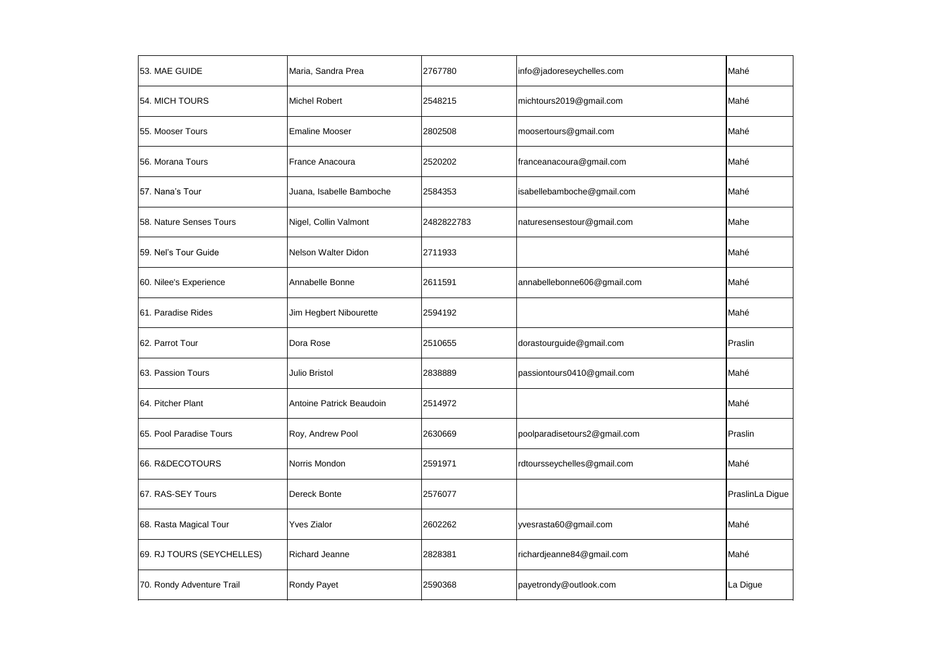| 53. MAE GUIDE             | Maria, Sandra Prea       | 2767780    | info@jadoreseychelles.com    | Mahé            |
|---------------------------|--------------------------|------------|------------------------------|-----------------|
| 54. MICH TOURS            | <b>Michel Robert</b>     | 2548215    | michtours2019@gmail.com      | Mahé            |
| 55. Mooser Tours          | <b>Emaline Mooser</b>    | 2802508    | moosertours@gmail.com        | Mahé            |
| 56. Morana Tours          | <b>France Anacoura</b>   | 2520202    | franceanacoura@gmail.com     | Mahé            |
| 57. Nana's Tour           | Juana, Isabelle Bamboche | 2584353    | isabellebamboche@gmail.com   | Mahé            |
| 58. Nature Senses Tours   | Nigel, Collin Valmont    | 2482822783 | naturesensestour@gmail.com   | Mahe            |
| 59. Nel's Tour Guide      | Nelson Walter Didon      | 2711933    |                              | Mahé            |
| 60. Nilee's Experience    | Annabelle Bonne          | 2611591    | annabellebonne606@gmail.com  | Mahé            |
| 61. Paradise Rides        | Jim Hegbert Nibourette   | 2594192    |                              | Mahé            |
| 62. Parrot Tour           | Dora Rose                | 2510655    | dorastourguide@gmail.com     | Praslin         |
| 63. Passion Tours         | Julio Bristol            | 2838889    | passiontours0410@gmail.com   | Mahé            |
| 64. Pitcher Plant         | Antoine Patrick Beaudoin | 2514972    |                              | Mahé            |
| 65. Pool Paradise Tours   | Roy, Andrew Pool         | 2630669    | poolparadisetours2@gmail.com | Praslin         |
| 66. R&DECOTOURS           | Norris Mondon            | 2591971    | rdtoursseychelles@gmail.com  | Mahé            |
| 67. RAS-SEY Tours         | Dereck Bonte             | 2576077    |                              | PraslinLa Digue |
| 68. Rasta Magical Tour    | <b>Yves Zialor</b>       | 2602262    | yvesrasta60@gmail.com        | Mahé            |
| 69. RJ TOURS (SEYCHELLES) | <b>Richard Jeanne</b>    | 2828381    | richardjeanne84@gmail.com    | Mahé            |
| 70. Rondy Adventure Trail | <b>Rondy Payet</b>       | 2590368    | payetrondy@outlook.com       | La Digue        |
|                           |                          |            |                              |                 |

| Mahé            |
|-----------------|
| Mahé            |
| Mahé            |
| Mahé            |
| Mahé            |
| Mahe            |
| Mahé            |
| Mahé            |
| Mahé            |
| Praslin         |
| Mahé            |
| Mahé            |
| Praslin         |
| Mahé            |
| PraslinLa Digue |
| Mahé            |
| Mahé            |
| La Digue        |
|                 |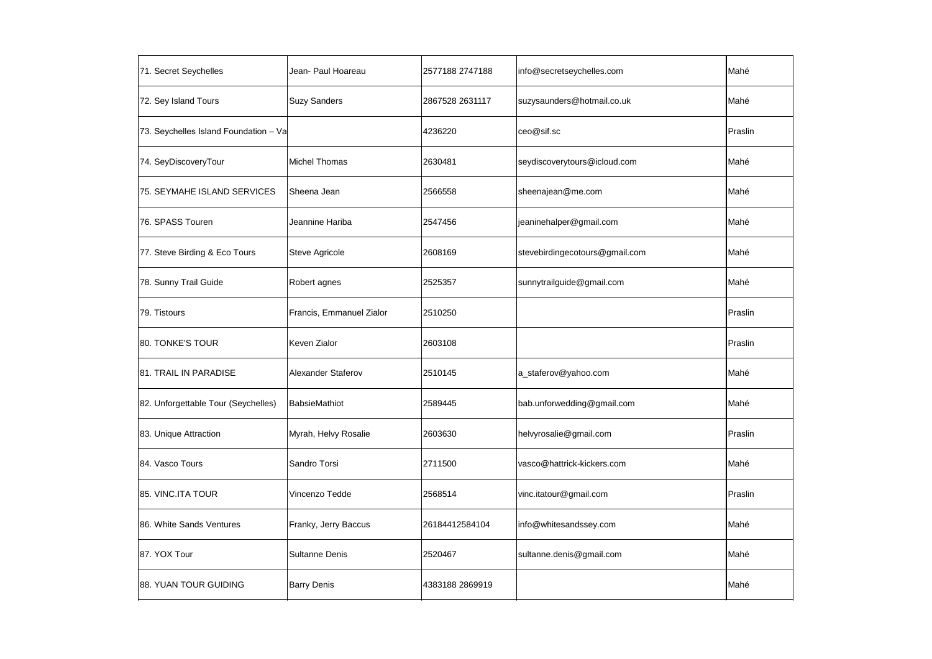| 71. Secret Seychelles                 | Jean- Paul Hoareau       | 2577188 2747188 | info@secretseychelles.com      | Mahé    |
|---------------------------------------|--------------------------|-----------------|--------------------------------|---------|
| 72. Sey Island Tours                  | <b>Suzy Sanders</b>      | 2867528 2631117 | suzysaunders@hotmail.co.uk     | Mahé    |
| 73. Seychelles Island Foundation - Va |                          | 4236220         | ceo@sif.sc                     | Praslin |
| 74. SeyDiscoveryTour                  | <b>Michel Thomas</b>     | 2630481         | seydiscoverytours@icloud.com   | Mahé    |
| 75. SEYMAHE ISLAND SERVICES           | Sheena Jean              | 2566558         | sheenajean@me.com              | Mahé    |
| 76. SPASS Touren                      | Jeannine Hariba          | 2547456         | jeaninehalper@gmail.com        | Mahé    |
| 77. Steve Birding & Eco Tours         | Steve Agricole           | 2608169         | stevebirdingecotours@gmail.com | Mahé    |
| 78. Sunny Trail Guide                 | Robert agnes             | 2525357         | sunnytrailguide@gmail.com      | Mahé    |
| 79. Tistours                          | Francis, Emmanuel Zialor | 2510250         |                                | Praslin |
| 80. TONKE'S TOUR                      | Keven Zialor             | 2603108         |                                | Praslin |
| 81. TRAIL IN PARADISE                 | Alexander Staferov       | 2510145         | a_staferov@yahoo.com           | Mahé    |
| 82. Unforgettable Tour (Seychelles)   | BabsieMathiot            | 2589445         | bab.unforwedding@gmail.com     | Mahé    |
| 83. Unique Attraction                 | Myrah, Helvy Rosalie     | 2603630         | helvyrosalie@gmail.com         | Praslin |
| 84. Vasco Tours                       | Sandro Torsi             | 2711500         | vasco@hattrick-kickers.com     | Mahé    |
| 85. VINC.ITA TOUR                     | Vincenzo Tedde           | 2568514         | vinc.itatour@gmail.com         | Praslin |
| 86. White Sands Ventures              | Franky, Jerry Baccus     | 26184412584104  | info@whitesandssey.com         | Mahé    |
| 87. YOX Tour                          | <b>Sultanne Denis</b>    | 2520467         | sultanne.denis@gmail.com       | Mahé    |
| 88. YUAN TOUR GUIDING                 | <b>Barry Denis</b>       | 4383188 2869919 |                                | Mahé    |
|                                       |                          |                 |                                |         |

| Mahé    |
|---------|
| Mahé    |
| Praslin |
| Mahé    |
| Mahé    |
| Mahé    |
| Mahé    |
| Mahé    |
| Praslin |
| Praslin |
| Mahé    |
| Mahé    |
| Praslin |
| Mahé    |
| Praslin |
| Mahé    |
| Mahé    |
| Mahé    |
|         |